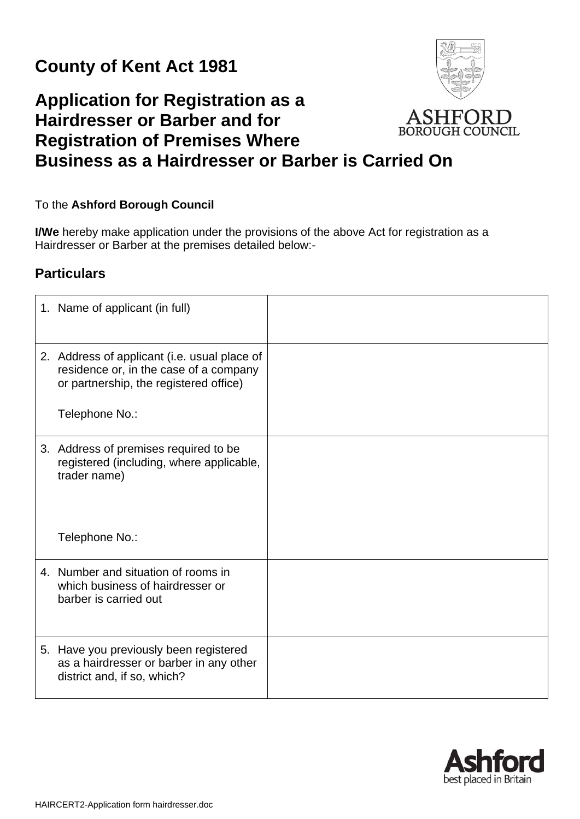## **County of Kent Act 1981**

## **Application for Registration as a Hairdresser or Barber and for BOROUGH COUNCIL Registration of Premises Where Business as a Hairdresser or Barber is Carried On**

## To the **Ashford Borough Council**

**I/We** hereby make application under the provisions of the above Act for registration as a Hairdresser or Barber at the premises detailed below:-

## **Particulars**

| 1. Name of applicant (in full)                                                                                                                     |  |
|----------------------------------------------------------------------------------------------------------------------------------------------------|--|
| 2. Address of applicant (i.e. usual place of<br>residence or, in the case of a company<br>or partnership, the registered office)<br>Telephone No.: |  |
| 3. Address of premises required to be<br>registered (including, where applicable,<br>trader name)<br>Telephone No.:                                |  |
| 4. Number and situation of rooms in<br>which business of hairdresser or<br>barber is carried out                                                   |  |
| 5. Have you previously been registered<br>as a hairdresser or barber in any other<br>district and, if so, which?                                   |  |